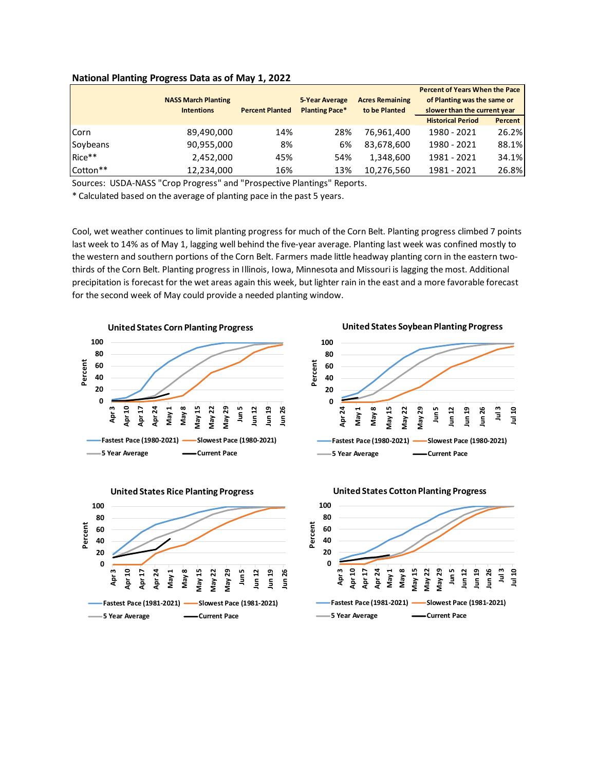|          |                            |                        | <b>5-Year Average</b><br><b>Planting Pace*</b> | <b>Acres Remaining</b><br>to be Planted | <b>Percent of Years When the Pace</b><br>of Planting was the same or<br>slower than the current year |                |
|----------|----------------------------|------------------------|------------------------------------------------|-----------------------------------------|------------------------------------------------------------------------------------------------------|----------------|
|          | <b>NASS March Planting</b> | <b>Percent Planted</b> |                                                |                                         |                                                                                                      |                |
|          | <b>Intentions</b>          |                        |                                                |                                         |                                                                                                      |                |
|          |                            |                        |                                                |                                         | <b>Historical Period</b>                                                                             | <b>Percent</b> |
| Corn     | 89,490,000                 | 14%                    | 28%                                            | 76,961,400                              | 1980 - 2021                                                                                          | 26.2%          |
| Soybeans | 90,955,000                 | 8%                     | 6%                                             | 83,678,600                              | 1980 - 2021                                                                                          | 88.1%          |
| Rice**   | 2.452.000                  | 45%                    | 54%                                            | 1.348.600                               | 1981 - 2021                                                                                          | 34.1%          |
| Cotton** | 12,234,000                 | 16%                    | 13%                                            | 10,276,560                              | 1981 - 2021                                                                                          | 26.8%          |

## **National Planting Progress Data as of May 1, 2022**

Sources: USDA-NASS "Crop Progress" and "Prospective Plantings" Reports.

\* Calculated based on the average of planting pace in the past 5 years.

Cool, wet weather continues to limit planting progress for much of the Corn Belt. Planting progress climbed 7 points last week to 14% as of May 1, lagging well behind the five-year average. Planting last week was confined mostly to the western and southern portions of the Corn Belt. Farmers made little headway planting corn in the eastern twothirds of the Corn Belt. Planting progress in Illinois, Iowa, Minnesota and Missouri is lagging the most. Additional precipitation is forecast for the wet areas again this week, but lighter rain in the east and a more favorable forecast for the second week of May could provide a needed planting window.